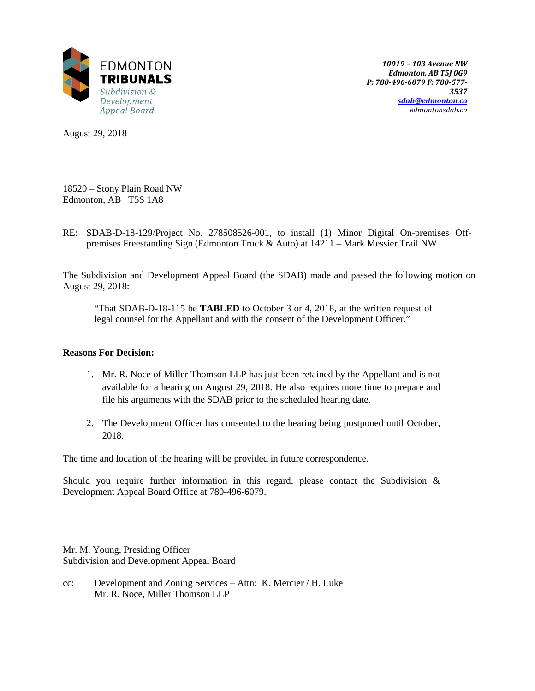

*10019 – 103 Avenue NW Edmonton, AB T5J 0G9 P: 780-496-6079 F: 780-577- 3537 [sdab@edmonton.ca](mailto:sdab@edmonton.ca) edmontonsdab.ca*

August 29, 2018

18520 – Stony Plain Road NW Edmonton, AB T5S 1A8

RE: SDAB-D-18-129/Project No. 278508526-001, to install (1) Minor Digital On-premises Offpremises Freestanding Sign (Edmonton Truck & Auto) at 14211 – Mark Messier Trail NW

The Subdivision and Development Appeal Board (the SDAB) made and passed the following motion on August 29, 2018:

"That SDAB-D-18-115 be **TABLED** to October 3 or 4, 2018, at the written request of legal counsel for the Appellant and with the consent of the Development Officer."

#### **Reasons For Decision:**

- 1. Mr. R. Noce of Miller Thomson LLP has just been retained by the Appellant and is not available for a hearing on August 29, 2018. He also requires more time to prepare and file his arguments with the SDAB prior to the scheduled hearing date.
- 2. The Development Officer has consented to the hearing being postponed until October, 2018.

The time and location of the hearing will be provided in future correspondence.

Should you require further information in this regard, please contact the Subdivision  $\&$ Development Appeal Board Office at 780-496-6079.

Mr. M. Young, Presiding Officer Subdivision and Development Appeal Board

cc: Development and Zoning Services – Attn: K. Mercier / H. Luke Mr. R. Noce, Miller Thomson LLP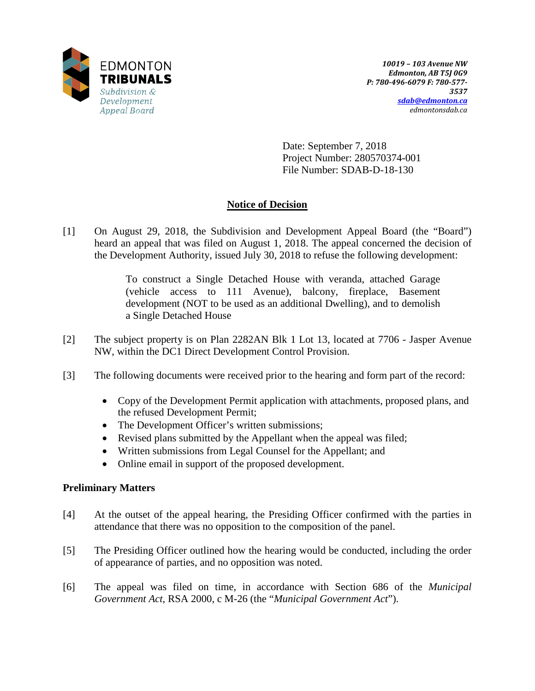

Date: September 7, 2018 Project Number: 280570374-001 File Number: SDAB-D-18-130

# **Notice of Decision**

[1] On August 29, 2018, the Subdivision and Development Appeal Board (the "Board") heard an appeal that was filed on August 1, 2018. The appeal concerned the decision of the Development Authority, issued July 30, 2018 to refuse the following development:

> To construct a Single Detached House with veranda, attached Garage (vehicle access to 111 Avenue), balcony, fireplace, Basement development (NOT to be used as an additional Dwelling), and to demolish a Single Detached House

- [2] The subject property is on Plan 2282AN Blk 1 Lot 13, located at 7706 Jasper Avenue NW, within the DC1 Direct Development Control Provision.
- [3] The following documents were received prior to the hearing and form part of the record:
	- Copy of the Development Permit application with attachments, proposed plans, and the refused Development Permit;
	- The Development Officer's written submissions;
	- Revised plans submitted by the Appellant when the appeal was filed;
	- Written submissions from Legal Counsel for the Appellant; and
	- Online email in support of the proposed development.

# **Preliminary Matters**

- [4] At the outset of the appeal hearing, the Presiding Officer confirmed with the parties in attendance that there was no opposition to the composition of the panel.
- [5] The Presiding Officer outlined how the hearing would be conducted, including the order of appearance of parties, and no opposition was noted.
- [6] The appeal was filed on time, in accordance with Section 686 of the *Municipal Government Act*, RSA 2000, c M-26 (the "*Municipal Government Act*").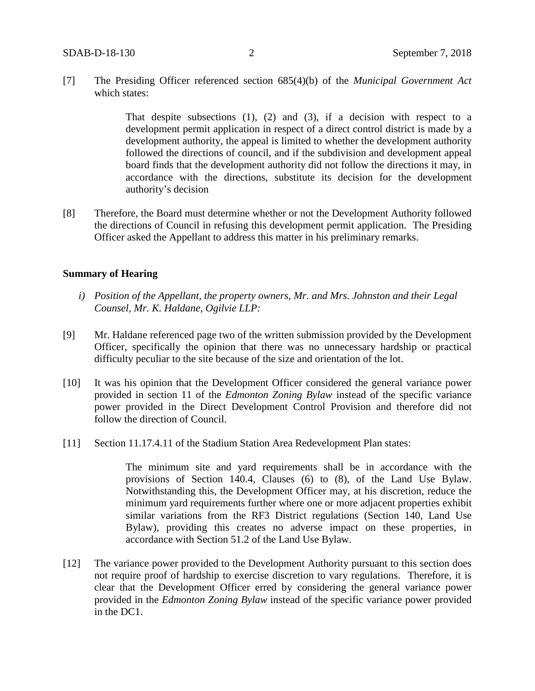[7] The Presiding Officer referenced section 685(4)(b) of the *Municipal Government Act* which states:

> That despite subsections (1), (2) and (3), if a decision with respect to a development permit application in respect of a direct control district is made by a development authority, the appeal is limited to whether the development authority followed the directions of council, and if the subdivision and development appeal board finds that the development authority did not follow the directions it may, in accordance with the directions, substitute its decision for the development authority's decision

[8] Therefore, the Board must determine whether or not the Development Authority followed the directions of Council in refusing this development permit application. The Presiding Officer asked the Appellant to address this matter in his preliminary remarks.

#### **Summary of Hearing**

- *i) Position of the Appellant, the property owners, Mr. and Mrs. Johnston and their Legal Counsel, Mr. K. Haldane, Ogilvie LLP:*
- [9] Mr. Haldane referenced page two of the written submission provided by the Development Officer, specifically the opinion that there was no unnecessary hardship or practical difficulty peculiar to the site because of the size and orientation of the lot.
- [10] It was his opinion that the Development Officer considered the general variance power provided in section 11 of the *Edmonton Zoning Bylaw* instead of the specific variance power provided in the Direct Development Control Provision and therefore did not follow the direction of Council.
- [11] Section 11.17.4.11 of the Stadium Station Area Redevelopment Plan states:

The minimum site and yard requirements shall be in accordance with the provisions of Section 140.4, Clauses (6) to (8), of the Land Use Bylaw. Notwithstanding this, the Development Officer may, at his discretion, reduce the minimum yard requirements further where one or more adjacent properties exhibit similar variations from the RF3 District regulations (Section 140, Land Use Bylaw), providing this creates no adverse impact on these properties, in accordance with Section 51.2 of the Land Use Bylaw.

[12] The variance power provided to the Development Authority pursuant to this section does not require proof of hardship to exercise discretion to vary regulations. Therefore, it is clear that the Development Officer erred by considering the general variance power provided in the *Edmonton Zoning Bylaw* instead of the specific variance power provided in the DC1.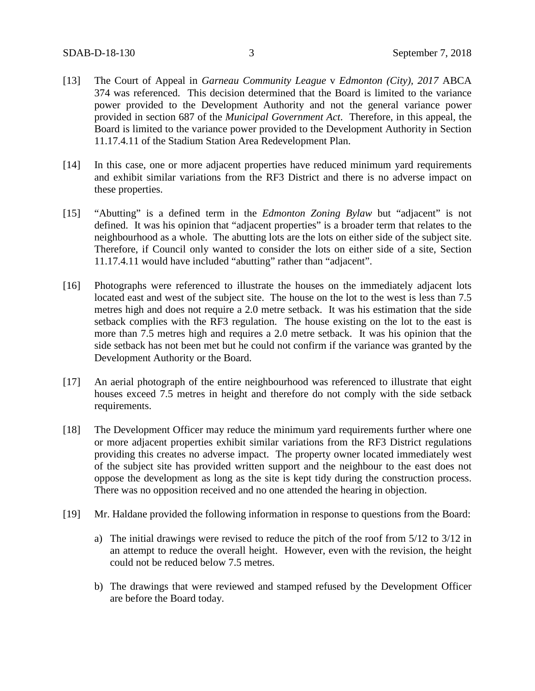- [13] The Court of Appeal in *Garneau Community League* v *Edmonton (City), 2017* ABCA 374 was referenced. This decision determined that the Board is limited to the variance power provided to the Development Authority and not the general variance power provided in section 687 of the *Municipal Government Act*. Therefore, in this appeal, the Board is limited to the variance power provided to the Development Authority in Section 11.17.4.11 of the Stadium Station Area Redevelopment Plan.
- [14] In this case, one or more adjacent properties have reduced minimum yard requirements and exhibit similar variations from the RF3 District and there is no adverse impact on these properties.
- [15] "Abutting" is a defined term in the *Edmonton Zoning Bylaw* but "adjacent" is not defined. It was his opinion that "adjacent properties" is a broader term that relates to the neighbourhood as a whole. The abutting lots are the lots on either side of the subject site. Therefore, if Council only wanted to consider the lots on either side of a site, Section 11.17.4.11 would have included "abutting" rather than "adjacent".
- [16] Photographs were referenced to illustrate the houses on the immediately adjacent lots located east and west of the subject site. The house on the lot to the west is less than 7.5 metres high and does not require a 2.0 metre setback. It was his estimation that the side setback complies with the RF3 regulation. The house existing on the lot to the east is more than 7.5 metres high and requires a 2.0 metre setback. It was his opinion that the side setback has not been met but he could not confirm if the variance was granted by the Development Authority or the Board.
- [17] An aerial photograph of the entire neighbourhood was referenced to illustrate that eight houses exceed 7.5 metres in height and therefore do not comply with the side setback requirements.
- [18] The Development Officer may reduce the minimum yard requirements further where one or more adjacent properties exhibit similar variations from the RF3 District regulations providing this creates no adverse impact. The property owner located immediately west of the subject site has provided written support and the neighbour to the east does not oppose the development as long as the site is kept tidy during the construction process. There was no opposition received and no one attended the hearing in objection.
- [19] Mr. Haldane provided the following information in response to questions from the Board:
	- a) The initial drawings were revised to reduce the pitch of the roof from 5/12 to 3/12 in an attempt to reduce the overall height. However, even with the revision, the height could not be reduced below 7.5 metres.
	- b) The drawings that were reviewed and stamped refused by the Development Officer are before the Board today.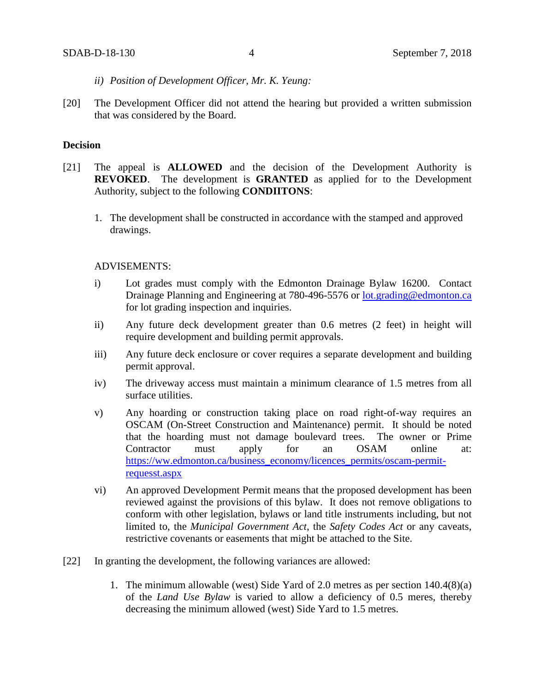- *ii) Position of Development Officer, Mr. K. Yeung:*
- [20] The Development Officer did not attend the hearing but provided a written submission that was considered by the Board.

# **Decision**

- [21] The appeal is **ALLOWED** and the decision of the Development Authority is **REVOKED**. The development is **GRANTED** as applied for to the Development Authority, subject to the following **CONDIITONS**:
	- 1. The development shall be constructed in accordance with the stamped and approved drawings.

#### ADVISEMENTS:

- i) Lot grades must comply with the Edmonton Drainage Bylaw 16200. Contact Drainage Planning and Engineering at 780-496-5576 or [lot.grading@edmonton.ca](mailto:lot.grading@edmonton.ca) for lot grading inspection and inquiries.
- ii) Any future deck development greater than 0.6 metres (2 feet) in height will require development and building permit approvals.
- iii) Any future deck enclosure or cover requires a separate development and building permit approval.
- iv) The driveway access must maintain a minimum clearance of 1.5 metres from all surface utilities.
- v) Any hoarding or construction taking place on road right-of-way requires an OSCAM (On-Street Construction and Maintenance) permit. It should be noted that the hoarding must not damage boulevard trees. The owner or Prime Contractor must apply for an OSAM online at: [https://ww.edmonton.ca/business\\_economy/licences\\_permits/oscam-permit](https://ww.edmonton.ca/business_economy/licences_permits/oscam-permit-requesst.aspx)[requesst.aspx](https://ww.edmonton.ca/business_economy/licences_permits/oscam-permit-requesst.aspx)
- vi) An approved Development Permit means that the proposed development has been reviewed against the provisions of this bylaw. It does not remove obligations to conform with other legislation, bylaws or land title instruments including, but not limited to, the *Municipal Government Act*, the *Safety Codes Act* or any caveats, restrictive covenants or easements that might be attached to the Site.
- [22] In granting the development, the following variances are allowed:
	- 1. The minimum allowable (west) Side Yard of 2.0 metres as per section 140.4(8)(a) of the *Land Use Bylaw* is varied to allow a deficiency of 0.5 meres, thereby decreasing the minimum allowed (west) Side Yard to 1.5 metres.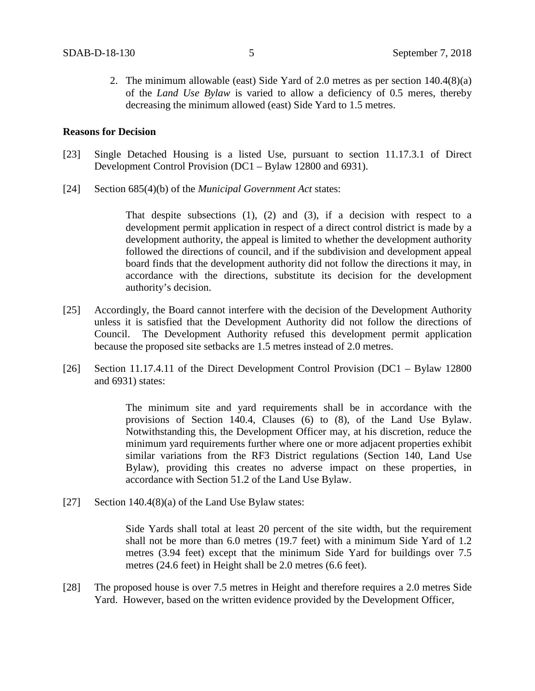2. The minimum allowable (east) Side Yard of 2.0 metres as per section 140.4(8)(a) of the *Land Use Bylaw* is varied to allow a deficiency of 0.5 meres, thereby decreasing the minimum allowed (east) Side Yard to 1.5 metres.

#### **Reasons for Decision**

- [23] Single Detached Housing is a listed Use, pursuant to section 11.17.3.1 of Direct Development Control Provision (DC1 – Bylaw 12800 and 6931).
- [24] Section 685(4)(b) of the *Municipal Government Act* states:

That despite subsections  $(1)$ ,  $(2)$  and  $(3)$ , if a decision with respect to a development permit application in respect of a direct control district is made by a development authority, the appeal is limited to whether the development authority followed the directions of council, and if the subdivision and development appeal board finds that the development authority did not follow the directions it may, in accordance with the directions, substitute its decision for the development authority's decision.

- [25] Accordingly, the Board cannot interfere with the decision of the Development Authority unless it is satisfied that the Development Authority did not follow the directions of Council. The Development Authority refused this development permit application because the proposed site setbacks are 1.5 metres instead of 2.0 metres.
- [26] Section 11.17.4.11 of the Direct Development Control Provision (DC1 Bylaw 12800 and 6931) states:

The minimum site and yard requirements shall be in accordance with the provisions of Section 140.4, Clauses (6) to (8), of the Land Use Bylaw. Notwithstanding this, the Development Officer may, at his discretion, reduce the minimum yard requirements further where one or more adjacent properties exhibit similar variations from the RF3 District regulations (Section 140, Land Use Bylaw), providing this creates no adverse impact on these properties, in accordance with Section 51.2 of the Land Use Bylaw.

[27] Section 140.4(8)(a) of the Land Use Bylaw states:

Side Yards shall total at least 20 percent of the site width, but the requirement shall not be more than 6.0 metres (19.7 feet) with a minimum Side Yard of 1.2 metres (3.94 feet) except that the minimum Side Yard for buildings over 7.5 metres (24.6 feet) in Height shall be 2.0 metres (6.6 feet).

[28] The proposed house is over 7.5 metres in Height and therefore requires a 2.0 metres Side Yard. However, based on the written evidence provided by the Development Officer,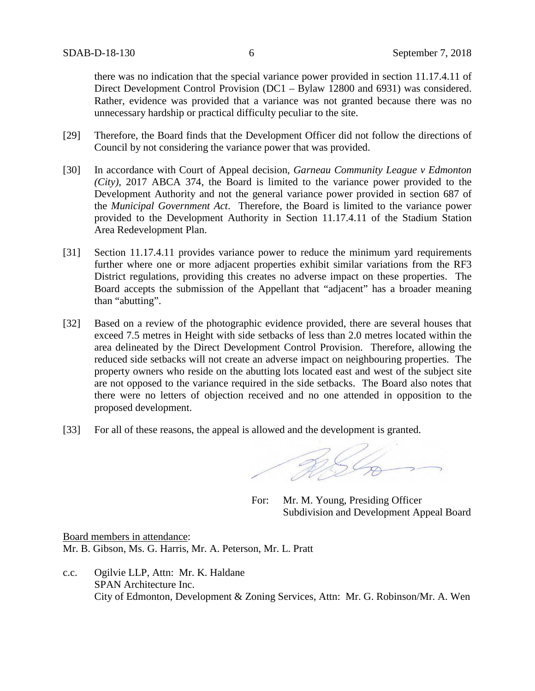there was no indication that the special variance power provided in section 11.17.4.11 of Direct Development Control Provision (DC1 – Bylaw 12800 and 6931) was considered. Rather, evidence was provided that a variance was not granted because there was no unnecessary hardship or practical difficulty peculiar to the site.

- [29] Therefore, the Board finds that the Development Officer did not follow the directions of Council by not considering the variance power that was provided.
- [30] In accordance with Court of Appeal decision, *Garneau Community League v Edmonton (City),* 2017 ABCA 374, the Board is limited to the variance power provided to the Development Authority and not the general variance power provided in section 687 of the *Municipal Government Act*. Therefore, the Board is limited to the variance power provided to the Development Authority in Section 11.17.4.11 of the Stadium Station Area Redevelopment Plan.
- [31] Section 11.17.4.11 provides variance power to reduce the minimum yard requirements further where one or more adjacent properties exhibit similar variations from the RF3 District regulations, providing this creates no adverse impact on these properties. The Board accepts the submission of the Appellant that "adjacent" has a broader meaning than "abutting".
- [32] Based on a review of the photographic evidence provided, there are several houses that exceed 7.5 metres in Height with side setbacks of less than 2.0 metres located within the area delineated by the Direct Development Control Provision. Therefore, allowing the reduced side setbacks will not create an adverse impact on neighbouring properties. The property owners who reside on the abutting lots located east and west of the subject site are not opposed to the variance required in the side setbacks. The Board also notes that there were no letters of objection received and no one attended in opposition to the proposed development.
- [33] For all of these reasons, the appeal is allowed and the development is granted.

RSL

For: Mr. M. Young, Presiding Officer Subdivision and Development Appeal Board

Board members in attendance: Mr. B. Gibson, Ms. G. Harris, Mr. A. Peterson, Mr. L. Pratt

c.c. Ogilvie LLP, Attn: Mr. K. Haldane SPAN Architecture Inc. City of Edmonton, Development & Zoning Services, Attn: Mr. G. Robinson/Mr. A. Wen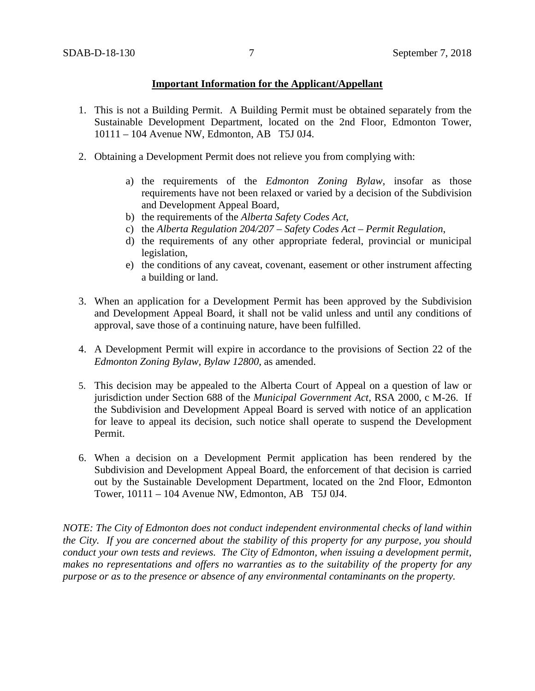# **Important Information for the Applicant/Appellant**

- 1. This is not a Building Permit. A Building Permit must be obtained separately from the Sustainable Development Department, located on the 2nd Floor, Edmonton Tower, 10111 – 104 Avenue NW, Edmonton, AB T5J 0J4.
- 2. Obtaining a Development Permit does not relieve you from complying with:
	- a) the requirements of the *Edmonton Zoning Bylaw*, insofar as those requirements have not been relaxed or varied by a decision of the Subdivision and Development Appeal Board,
	- b) the requirements of the *Alberta Safety Codes Act*,
	- c) the *Alberta Regulation 204/207 – Safety Codes Act – Permit Regulation*,
	- d) the requirements of any other appropriate federal, provincial or municipal legislation,
	- e) the conditions of any caveat, covenant, easement or other instrument affecting a building or land.
- 3. When an application for a Development Permit has been approved by the Subdivision and Development Appeal Board, it shall not be valid unless and until any conditions of approval, save those of a continuing nature, have been fulfilled.
- 4. A Development Permit will expire in accordance to the provisions of Section 22 of the *Edmonton Zoning Bylaw, Bylaw 12800*, as amended.
- 5. This decision may be appealed to the Alberta Court of Appeal on a question of law or jurisdiction under Section 688 of the *Municipal Government Act*, RSA 2000, c M-26. If the Subdivision and Development Appeal Board is served with notice of an application for leave to appeal its decision, such notice shall operate to suspend the Development Permit.
- 6. When a decision on a Development Permit application has been rendered by the Subdivision and Development Appeal Board, the enforcement of that decision is carried out by the Sustainable Development Department, located on the 2nd Floor, Edmonton Tower, 10111 – 104 Avenue NW, Edmonton, AB T5J 0J4.

*NOTE: The City of Edmonton does not conduct independent environmental checks of land within the City. If you are concerned about the stability of this property for any purpose, you should conduct your own tests and reviews. The City of Edmonton, when issuing a development permit, makes no representations and offers no warranties as to the suitability of the property for any purpose or as to the presence or absence of any environmental contaminants on the property.*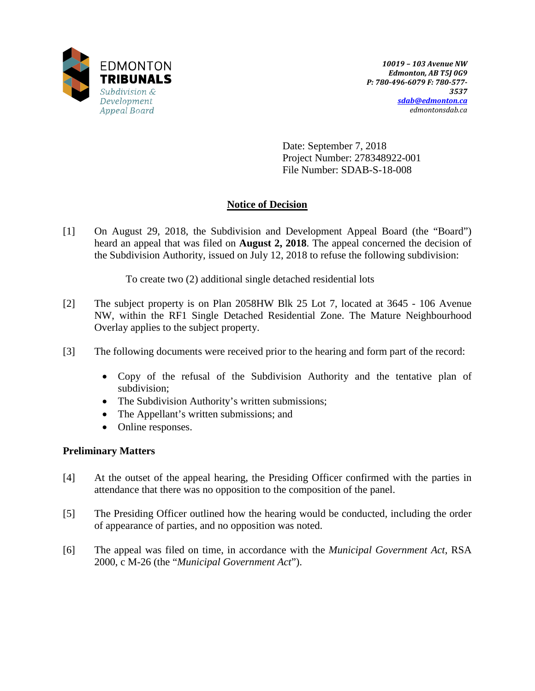

Date: September 7, 2018 Project Number: 278348922-001 File Number: SDAB-S-18-008

# **Notice of Decision**

[1] On August 29, 2018, the Subdivision and Development Appeal Board (the "Board") heard an appeal that was filed on **August 2, 2018**. The appeal concerned the decision of the Subdivision Authority, issued on July 12, 2018 to refuse the following subdivision:

To create two (2) additional single detached residential lots

- [2] The subject property is on Plan 2058HW Blk 25 Lot 7, located at 3645 106 Avenue NW, within the RF1 Single Detached Residential Zone. The Mature Neighbourhood Overlay applies to the subject property.
- [3] The following documents were received prior to the hearing and form part of the record:
	- Copy of the refusal of the Subdivision Authority and the tentative plan of subdivision;
	- The Subdivision Authority's written submissions;
	- The Appellant's written submissions; and
	- Online responses.

# **Preliminary Matters**

- [4] At the outset of the appeal hearing, the Presiding Officer confirmed with the parties in attendance that there was no opposition to the composition of the panel.
- [5] The Presiding Officer outlined how the hearing would be conducted, including the order of appearance of parties, and no opposition was noted.
- [6] The appeal was filed on time, in accordance with the *Municipal Government Act*, RSA 2000, c M-26 (the "*Municipal Government Act*").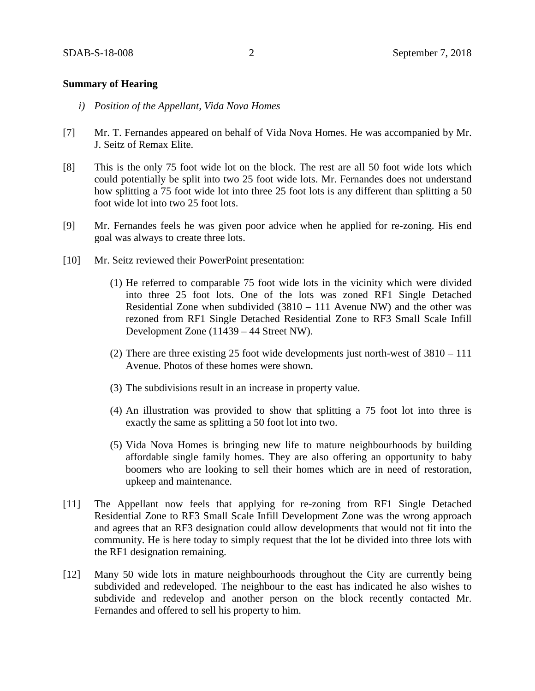### **Summary of Hearing**

- *i) Position of the Appellant, Vida Nova Homes*
- [7] Mr. T. Fernandes appeared on behalf of Vida Nova Homes. He was accompanied by Mr. J. Seitz of Remax Elite.
- [8] This is the only 75 foot wide lot on the block. The rest are all 50 foot wide lots which could potentially be split into two 25 foot wide lots. Mr. Fernandes does not understand how splitting a 75 foot wide lot into three 25 foot lots is any different than splitting a 50 foot wide lot into two 25 foot lots.
- [9] Mr. Fernandes feels he was given poor advice when he applied for re-zoning. His end goal was always to create three lots.
- [10] Mr. Seitz reviewed their PowerPoint presentation:
	- (1) He referred to comparable 75 foot wide lots in the vicinity which were divided into three 25 foot lots. One of the lots was zoned RF1 Single Detached Residential Zone when subdivided (3810 – 111 Avenue NW) and the other was rezoned from RF1 Single Detached Residential Zone to RF3 Small Scale Infill Development Zone (11439 – 44 Street NW).
	- (2) There are three existing 25 foot wide developments just north-west of 3810 111 Avenue. Photos of these homes were shown.
	- (3) The subdivisions result in an increase in property value.
	- (4) An illustration was provided to show that splitting a 75 foot lot into three is exactly the same as splitting a 50 foot lot into two.
	- (5) Vida Nova Homes is bringing new life to mature neighbourhoods by building affordable single family homes. They are also offering an opportunity to baby boomers who are looking to sell their homes which are in need of restoration, upkeep and maintenance.
- [11] The Appellant now feels that applying for re-zoning from RF1 Single Detached Residential Zone to RF3 Small Scale Infill Development Zone was the wrong approach and agrees that an RF3 designation could allow developments that would not fit into the community. He is here today to simply request that the lot be divided into three lots with the RF1 designation remaining.
- [12] Many 50 wide lots in mature neighbourhoods throughout the City are currently being subdivided and redeveloped. The neighbour to the east has indicated he also wishes to subdivide and redevelop and another person on the block recently contacted Mr. Fernandes and offered to sell his property to him.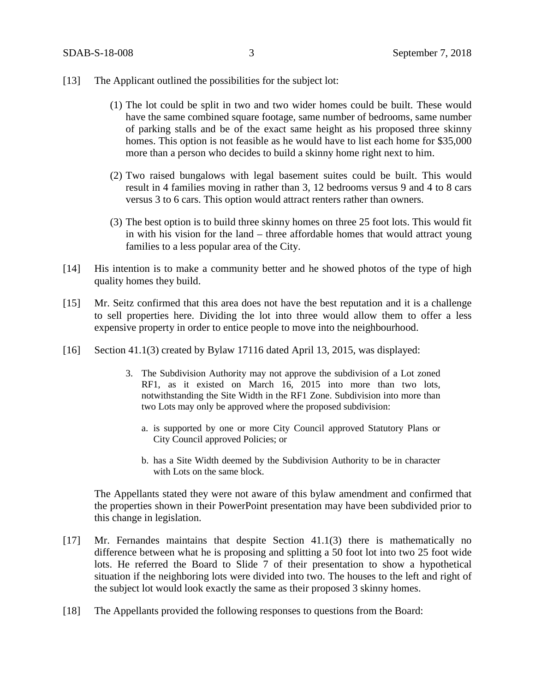- [13] The Applicant outlined the possibilities for the subject lot:
	- (1) The lot could be split in two and two wider homes could be built. These would have the same combined square footage, same number of bedrooms, same number of parking stalls and be of the exact same height as his proposed three skinny homes. This option is not feasible as he would have to list each home for \$35,000 more than a person who decides to build a skinny home right next to him.
	- (2) Two raised bungalows with legal basement suites could be built. This would result in 4 families moving in rather than 3, 12 bedrooms versus 9 and 4 to 8 cars versus 3 to 6 cars. This option would attract renters rather than owners.
	- (3) The best option is to build three skinny homes on three 25 foot lots. This would fit in with his vision for the land – three affordable homes that would attract young families to a less popular area of the City.
- [14] His intention is to make a community better and he showed photos of the type of high quality homes they build.
- [15] Mr. Seitz confirmed that this area does not have the best reputation and it is a challenge to sell properties here. Dividing the lot into three would allow them to offer a less expensive property in order to entice people to move into the neighbourhood.
- [16] Section 41.1(3) created by Bylaw 17116 dated April 13, 2015, was displayed:
	- 3. The Subdivision Authority may not approve the subdivision of a Lot zoned RF1, as it existed on March 16, 2015 into more than two lots, notwithstanding the Site Width in the RF1 Zone. Subdivision into more than two Lots may only be approved where the proposed subdivision:
		- a. is supported by one or more City Council approved Statutory Plans or City Council approved Policies; or
		- b. has a Site Width deemed by the Subdivision Authority to be in character with Lots on the same block.

The Appellants stated they were not aware of this bylaw amendment and confirmed that the properties shown in their PowerPoint presentation may have been subdivided prior to this change in legislation.

- [17] Mr. Fernandes maintains that despite Section 41.1(3) there is mathematically no difference between what he is proposing and splitting a 50 foot lot into two 25 foot wide lots. He referred the Board to Slide 7 of their presentation to show a hypothetical situation if the neighboring lots were divided into two. The houses to the left and right of the subject lot would look exactly the same as their proposed 3 skinny homes.
- [18] The Appellants provided the following responses to questions from the Board: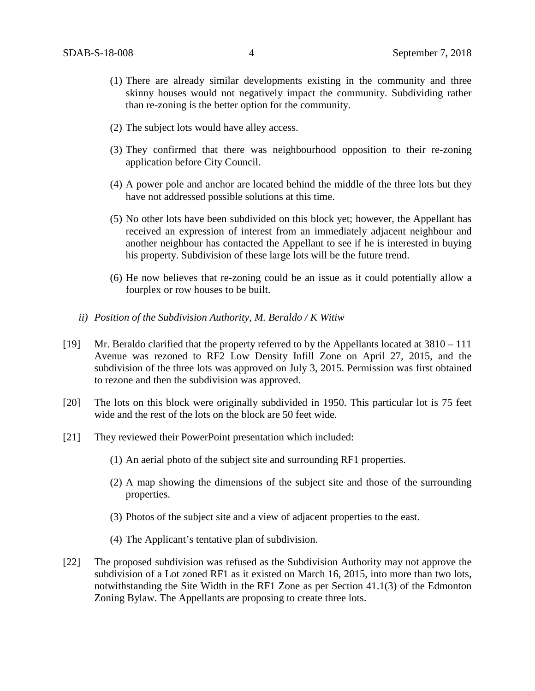- (1) There are already similar developments existing in the community and three skinny houses would not negatively impact the community. Subdividing rather than re-zoning is the better option for the community.
- (2) The subject lots would have alley access.
- (3) They confirmed that there was neighbourhood opposition to their re-zoning application before City Council.
- (4) A power pole and anchor are located behind the middle of the three lots but they have not addressed possible solutions at this time.
- (5) No other lots have been subdivided on this block yet; however, the Appellant has received an expression of interest from an immediately adjacent neighbour and another neighbour has contacted the Appellant to see if he is interested in buying his property. Subdivision of these large lots will be the future trend.
- (6) He now believes that re-zoning could be an issue as it could potentially allow a fourplex or row houses to be built.
- *ii) Position of the Subdivision Authority, M. Beraldo / K Witiw*
- [19] Mr. Beraldo clarified that the property referred to by the Appellants located at 3810 111 Avenue was rezoned to RF2 Low Density Infill Zone on April 27, 2015, and the subdivision of the three lots was approved on July 3, 2015. Permission was first obtained to rezone and then the subdivision was approved.
- [20] The lots on this block were originally subdivided in 1950. This particular lot is 75 feet wide and the rest of the lots on the block are 50 feet wide.
- [21] They reviewed their PowerPoint presentation which included:
	- (1) An aerial photo of the subject site and surrounding RF1 properties.
	- (2) A map showing the dimensions of the subject site and those of the surrounding properties.
	- (3) Photos of the subject site and a view of adjacent properties to the east.
	- (4) The Applicant's tentative plan of subdivision.
- [22] The proposed subdivision was refused as the Subdivision Authority may not approve the subdivision of a Lot zoned RF1 as it existed on March 16, 2015, into more than two lots, notwithstanding the Site Width in the RF1 Zone as per Section 41.1(3) of the Edmonton Zoning Bylaw. The Appellants are proposing to create three lots.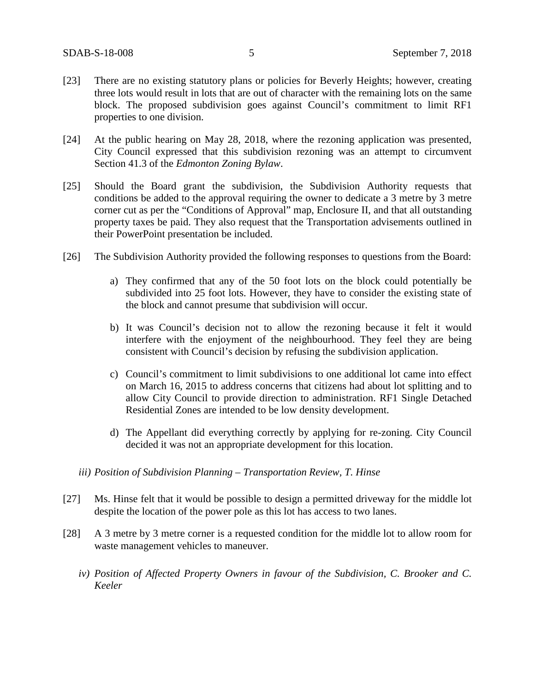- [23] There are no existing statutory plans or policies for Beverly Heights; however, creating three lots would result in lots that are out of character with the remaining lots on the same block. The proposed subdivision goes against Council's commitment to limit RF1 properties to one division.
- [24] At the public hearing on May 28, 2018, where the rezoning application was presented, City Council expressed that this subdivision rezoning was an attempt to circumvent Section 41.3 of the *Edmonton Zoning Bylaw*.
- [25] Should the Board grant the subdivision, the Subdivision Authority requests that conditions be added to the approval requiring the owner to dedicate a 3 metre by 3 metre corner cut as per the "Conditions of Approval" map, Enclosure II, and that all outstanding property taxes be paid. They also request that the Transportation advisements outlined in their PowerPoint presentation be included.
- [26] The Subdivision Authority provided the following responses to questions from the Board:
	- a) They confirmed that any of the 50 foot lots on the block could potentially be subdivided into 25 foot lots. However, they have to consider the existing state of the block and cannot presume that subdivision will occur.
	- b) It was Council's decision not to allow the rezoning because it felt it would interfere with the enjoyment of the neighbourhood. They feel they are being consistent with Council's decision by refusing the subdivision application.
	- c) Council's commitment to limit subdivisions to one additional lot came into effect on March 16, 2015 to address concerns that citizens had about lot splitting and to allow City Council to provide direction to administration. RF1 Single Detached Residential Zones are intended to be low density development.
	- d) The Appellant did everything correctly by applying for re-zoning. City Council decided it was not an appropriate development for this location.
	- *iii) Position of Subdivision Planning – Transportation Review, T. Hinse*
- [27] Ms. Hinse felt that it would be possible to design a permitted driveway for the middle lot despite the location of the power pole as this lot has access to two lanes.
- [28] A 3 metre by 3 metre corner is a requested condition for the middle lot to allow room for waste management vehicles to maneuver.
	- *iv) Position of Affected Property Owners in favour of the Subdivision, C. Brooker and C. Keeler*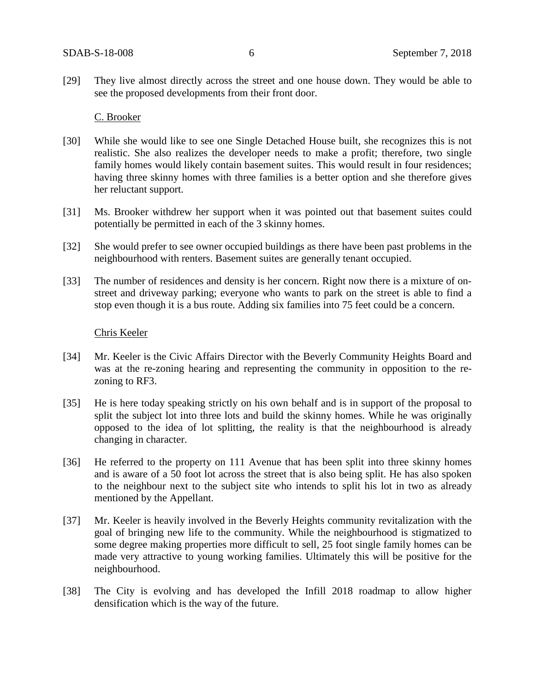[29] They live almost directly across the street and one house down. They would be able to see the proposed developments from their front door.

#### C. Brooker

- [30] While she would like to see one Single Detached House built, she recognizes this is not realistic. She also realizes the developer needs to make a profit; therefore, two single family homes would likely contain basement suites. This would result in four residences; having three skinny homes with three families is a better option and she therefore gives her reluctant support.
- [31] Ms. Brooker withdrew her support when it was pointed out that basement suites could potentially be permitted in each of the 3 skinny homes.
- [32] She would prefer to see owner occupied buildings as there have been past problems in the neighbourhood with renters. Basement suites are generally tenant occupied.
- [33] The number of residences and density is her concern. Right now there is a mixture of onstreet and driveway parking; everyone who wants to park on the street is able to find a stop even though it is a bus route. Adding six families into 75 feet could be a concern.

#### Chris Keeler

- [34] Mr. Keeler is the Civic Affairs Director with the Beverly Community Heights Board and was at the re-zoning hearing and representing the community in opposition to the rezoning to RF3.
- [35] He is here today speaking strictly on his own behalf and is in support of the proposal to split the subject lot into three lots and build the skinny homes. While he was originally opposed to the idea of lot splitting, the reality is that the neighbourhood is already changing in character.
- [36] He referred to the property on 111 Avenue that has been split into three skinny homes and is aware of a 50 foot lot across the street that is also being split. He has also spoken to the neighbour next to the subject site who intends to split his lot in two as already mentioned by the Appellant.
- [37] Mr. Keeler is heavily involved in the Beverly Heights community revitalization with the goal of bringing new life to the community. While the neighbourhood is stigmatized to some degree making properties more difficult to sell, 25 foot single family homes can be made very attractive to young working families. Ultimately this will be positive for the neighbourhood.
- [38] The City is evolving and has developed the Infill 2018 roadmap to allow higher densification which is the way of the future.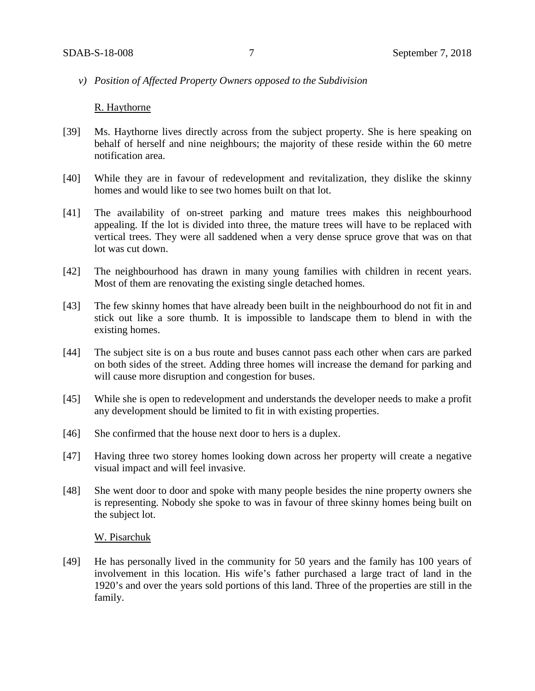*v) Position of Affected Property Owners opposed to the Subdivision*

#### R. Haythorne

- [39] Ms. Haythorne lives directly across from the subject property. She is here speaking on behalf of herself and nine neighbours; the majority of these reside within the 60 metre notification area.
- [40] While they are in favour of redevelopment and revitalization, they dislike the skinny homes and would like to see two homes built on that lot.
- [41] The availability of on-street parking and mature trees makes this neighbourhood appealing. If the lot is divided into three, the mature trees will have to be replaced with vertical trees. They were all saddened when a very dense spruce grove that was on that lot was cut down.
- [42] The neighbourhood has drawn in many young families with children in recent years. Most of them are renovating the existing single detached homes.
- [43] The few skinny homes that have already been built in the neighbourhood do not fit in and stick out like a sore thumb. It is impossible to landscape them to blend in with the existing homes.
- [44] The subject site is on a bus route and buses cannot pass each other when cars are parked on both sides of the street. Adding three homes will increase the demand for parking and will cause more disruption and congestion for buses.
- [45] While she is open to redevelopment and understands the developer needs to make a profit any development should be limited to fit in with existing properties.
- [46] She confirmed that the house next door to hers is a duplex.
- [47] Having three two storey homes looking down across her property will create a negative visual impact and will feel invasive.
- [48] She went door to door and spoke with many people besides the nine property owners she is representing. Nobody she spoke to was in favour of three skinny homes being built on the subject lot.

#### W. Pisarchuk

[49] He has personally lived in the community for 50 years and the family has 100 years of involvement in this location. His wife's father purchased a large tract of land in the 1920's and over the years sold portions of this land. Three of the properties are still in the family.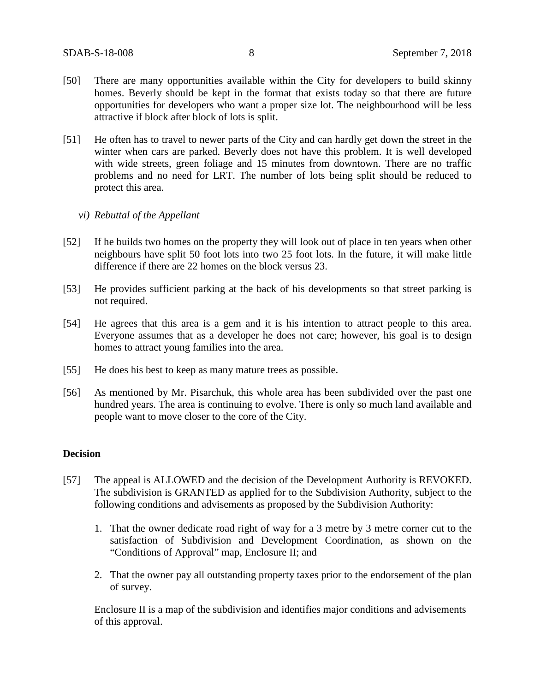- [50] There are many opportunities available within the City for developers to build skinny homes. Beverly should be kept in the format that exists today so that there are future opportunities for developers who want a proper size lot. The neighbourhood will be less attractive if block after block of lots is split.
- [51] He often has to travel to newer parts of the City and can hardly get down the street in the winter when cars are parked. Beverly does not have this problem. It is well developed with wide streets, green foliage and 15 minutes from downtown. There are no traffic problems and no need for LRT. The number of lots being split should be reduced to protect this area.
	- *vi) Rebuttal of the Appellant*
- [52] If he builds two homes on the property they will look out of place in ten years when other neighbours have split 50 foot lots into two 25 foot lots. In the future, it will make little difference if there are 22 homes on the block versus 23.
- [53] He provides sufficient parking at the back of his developments so that street parking is not required.
- [54] He agrees that this area is a gem and it is his intention to attract people to this area. Everyone assumes that as a developer he does not care; however, his goal is to design homes to attract young families into the area.
- [55] He does his best to keep as many mature trees as possible.
- [56] As mentioned by Mr. Pisarchuk, this whole area has been subdivided over the past one hundred years. The area is continuing to evolve. There is only so much land available and people want to move closer to the core of the City.

#### **Decision**

- [57] The appeal is ALLOWED and the decision of the Development Authority is REVOKED. The subdivision is GRANTED as applied for to the Subdivision Authority, subject to the following conditions and advisements as proposed by the Subdivision Authority:
	- 1. That the owner dedicate road right of way for a 3 metre by 3 metre corner cut to the satisfaction of Subdivision and Development Coordination, as shown on the "Conditions of Approval" map, Enclosure II; and
	- 2. That the owner pay all outstanding property taxes prior to the endorsement of the plan of survey.

Enclosure II is a map of the subdivision and identifies major conditions and advisements of this approval.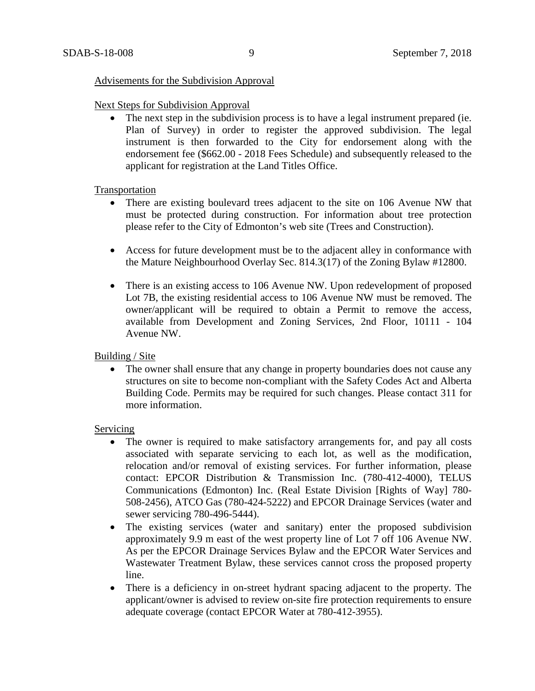#### Advisements for the Subdivision Approval

#### Next Steps for Subdivision Approval

• The next step in the subdivision process is to have a legal instrument prepared (ie. Plan of Survey) in order to register the approved subdivision. The legal instrument is then forwarded to the City for endorsement along with the endorsement fee (\$662.00 - 2018 Fees Schedule) and subsequently released to the applicant for registration at the Land Titles Office.

### Transportation

- There are existing boulevard trees adjacent to the site on 106 Avenue NW that must be protected during construction. For information about tree protection please refer to the City of Edmonton's web site (Trees and Construction).
- Access for future development must be to the adjacent alley in conformance with the Mature Neighbourhood Overlay Sec. 814.3(17) of the Zoning Bylaw #12800.
- There is an existing access to 106 Avenue NW. Upon redevelopment of proposed Lot 7B, the existing residential access to 106 Avenue NW must be removed. The owner/applicant will be required to obtain a Permit to remove the access, available from Development and Zoning Services, 2nd Floor, 10111 - 104 Avenue NW.

# Building / Site

• The owner shall ensure that any change in property boundaries does not cause any structures on site to become non-compliant with the Safety Codes Act and Alberta Building Code. Permits may be required for such changes. Please contact 311 for more information.

#### Servicing

- The owner is required to make satisfactory arrangements for, and pay all costs associated with separate servicing to each lot, as well as the modification, relocation and/or removal of existing services. For further information, please contact: EPCOR Distribution & Transmission Inc. (780-412-4000), TELUS Communications (Edmonton) Inc. (Real Estate Division [Rights of Way] 780- 508-2456), ATCO Gas (780-424-5222) and EPCOR Drainage Services (water and sewer servicing 780-496-5444).
- The existing services (water and sanitary) enter the proposed subdivision approximately 9.9 m east of the west property line of Lot 7 off 106 Avenue NW. As per the EPCOR Drainage Services Bylaw and the EPCOR Water Services and Wastewater Treatment Bylaw, these services cannot cross the proposed property line.
- There is a deficiency in on-street hydrant spacing adjacent to the property. The applicant/owner is advised to review on-site fire protection requirements to ensure adequate coverage (contact EPCOR Water at 780-412-3955).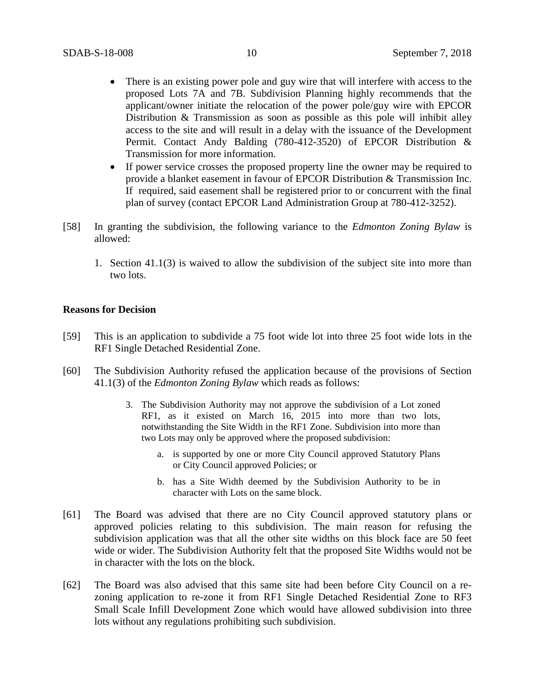- There is an existing power pole and guy wire that will interfere with access to the proposed Lots 7A and 7B. Subdivision Planning highly recommends that the applicant/owner initiate the relocation of the power pole/guy wire with EPCOR Distribution & Transmission as soon as possible as this pole will inhibit alley access to the site and will result in a delay with the issuance of the Development Permit. Contact Andy Balding (780-412-3520) of EPCOR Distribution & Transmission for more information.
- If power service crosses the proposed property line the owner may be required to provide a blanket easement in favour of EPCOR Distribution & Transmission Inc. If required, said easement shall be registered prior to or concurrent with the final plan of survey (contact EPCOR Land Administration Group at 780-412-3252).
- [58] In granting the subdivision, the following variance to the *Edmonton Zoning Bylaw* is allowed:
	- 1. Section 41.1(3) is waived to allow the subdivision of the subject site into more than two lots.

#### **Reasons for Decision**

- [59] This is an application to subdivide a 75 foot wide lot into three 25 foot wide lots in the RF1 Single Detached Residential Zone.
- [60] The Subdivision Authority refused the application because of the provisions of Section 41.1(3) of the *Edmonton Zoning Bylaw* which reads as follows:
	- 3. The Subdivision Authority may not approve the subdivision of a Lot zoned RF1, as it existed on March 16, 2015 into more than two lots, notwithstanding the Site Width in the RF1 Zone. Subdivision into more than two Lots may only be approved where the proposed subdivision:
		- a. is supported by one or more City Council approved Statutory Plans or City Council approved Policies; or
		- b. has a Site Width deemed by the Subdivision Authority to be in character with Lots on the same block.
- [61] The Board was advised that there are no City Council approved statutory plans or approved policies relating to this subdivision. The main reason for refusing the subdivision application was that all the other site widths on this block face are 50 feet wide or wider. The Subdivision Authority felt that the proposed Site Widths would not be in character with the lots on the block.
- [62] The Board was also advised that this same site had been before City Council on a rezoning application to re-zone it from RF1 Single Detached Residential Zone to RF3 Small Scale Infill Development Zone which would have allowed subdivision into three lots without any regulations prohibiting such subdivision.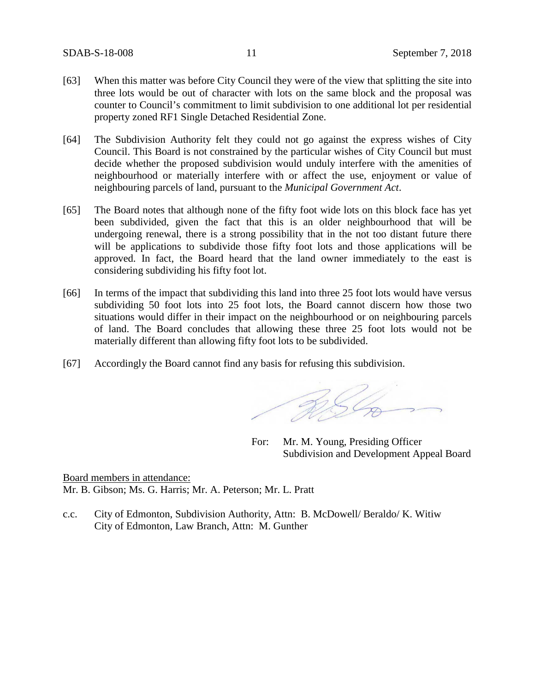- [63] When this matter was before City Council they were of the view that splitting the site into three lots would be out of character with lots on the same block and the proposal was counter to Council's commitment to limit subdivision to one additional lot per residential property zoned RF1 Single Detached Residential Zone.
- [64] The Subdivision Authority felt they could not go against the express wishes of City Council. This Board is not constrained by the particular wishes of City Council but must decide whether the proposed subdivision would unduly interfere with the amenities of neighbourhood or materially interfere with or affect the use, enjoyment or value of neighbouring parcels of land, pursuant to the *Municipal Government Act*.
- [65] The Board notes that although none of the fifty foot wide lots on this block face has yet been subdivided, given the fact that this is an older neighbourhood that will be undergoing renewal, there is a strong possibility that in the not too distant future there will be applications to subdivide those fifty foot lots and those applications will be approved. In fact, the Board heard that the land owner immediately to the east is considering subdividing his fifty foot lot.
- [66] In terms of the impact that subdividing this land into three 25 foot lots would have versus subdividing 50 foot lots into 25 foot lots, the Board cannot discern how those two situations would differ in their impact on the neighbourhood or on neighbouring parcels of land. The Board concludes that allowing these three 25 foot lots would not be materially different than allowing fifty foot lots to be subdivided.
- [67] Accordingly the Board cannot find any basis for refusing this subdivision.

RSG

For: Mr. M. Young, Presiding Officer Subdivision and Development Appeal Board

Board members in attendance: Mr. B. Gibson; Ms. G. Harris; Mr. A. Peterson; Mr. L. Pratt

c.c. City of Edmonton, Subdivision Authority, Attn: B. McDowell/ Beraldo/ K. Witiw City of Edmonton, Law Branch, Attn: M. Gunther